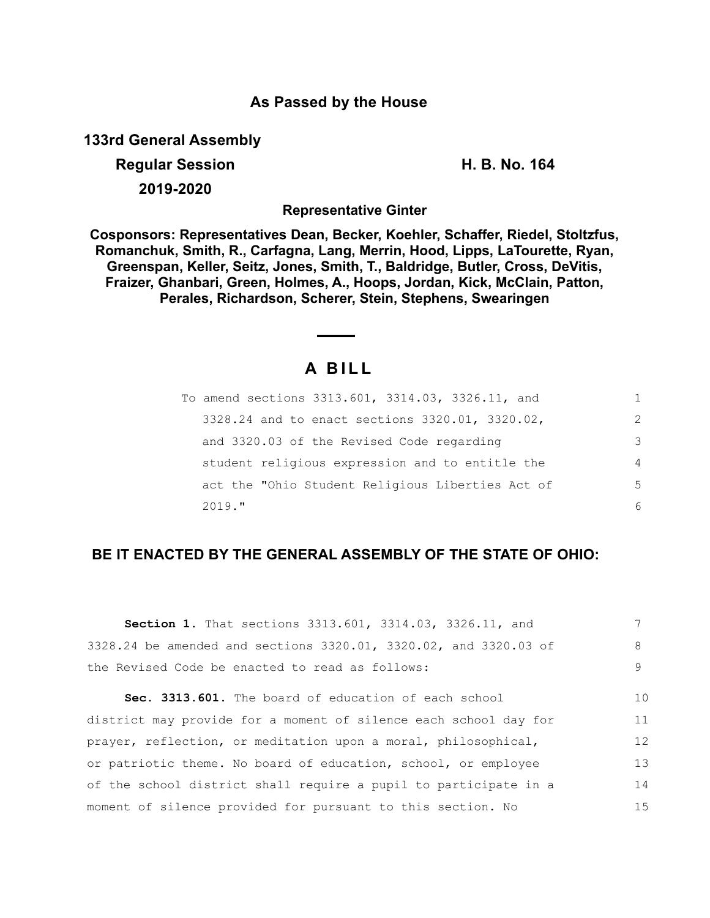### **As Passed by the House**

**133rd General Assembly**

# **Regular Session H. B. No. 164 2019-2020**

**Representative Ginter**

**Cosponsors: Representatives Dean, Becker, Koehler, Schaffer, Riedel, Stoltzfus, Romanchuk, Smith, R., Carfagna, Lang, Merrin, Hood, Lipps, LaTourette, Ryan, Greenspan, Keller, Seitz, Jones, Smith, T., Baldridge, Butler, Cross, DeVitis, Fraizer, Ghanbari, Green, Holmes, A., Hoops, Jordan, Kick, McClain, Patton, Perales, Richardson, Scherer, Stein, Stephens, Swearingen**

## **A B I L L**

| To amend sections 3313.601, 3314.03, 3326.11, and |                |
|---------------------------------------------------|----------------|
| 3328.24 and to enact sections 3320.01, 3320.02,   | 2              |
| and 3320.03 of the Revised Code regarding         | 3              |
| student religious expression and to entitle the   | $\overline{4}$ |
| act the "Ohio Student Religious Liberties Act of  | 5              |
| $2019.$ "                                         | 6              |

## **BE IT ENACTED BY THE GENERAL ASSEMBLY OF THE STATE OF OHIO:**

| <b>Section 1.</b> That sections 3313.601, 3314.03, 3326.11, and  |    |
|------------------------------------------------------------------|----|
| 3328.24 be amended and sections 3320.01, 3320.02, and 3320.03 of | 8  |
| the Revised Code be enacted to read as follows:                  | 9  |
| Sec. 3313.601. The board of education of each school             | 10 |
| district may provide for a moment of silence each school day for | 11 |
| prayer, reflection, or meditation upon a moral, philosophical,   | 12 |
| or patriotic theme. No board of education, school, or employee   | 13 |
| of the school district shall require a pupil to participate in a | 14 |
| moment of silence provided for pursuant to this section. No      | 15 |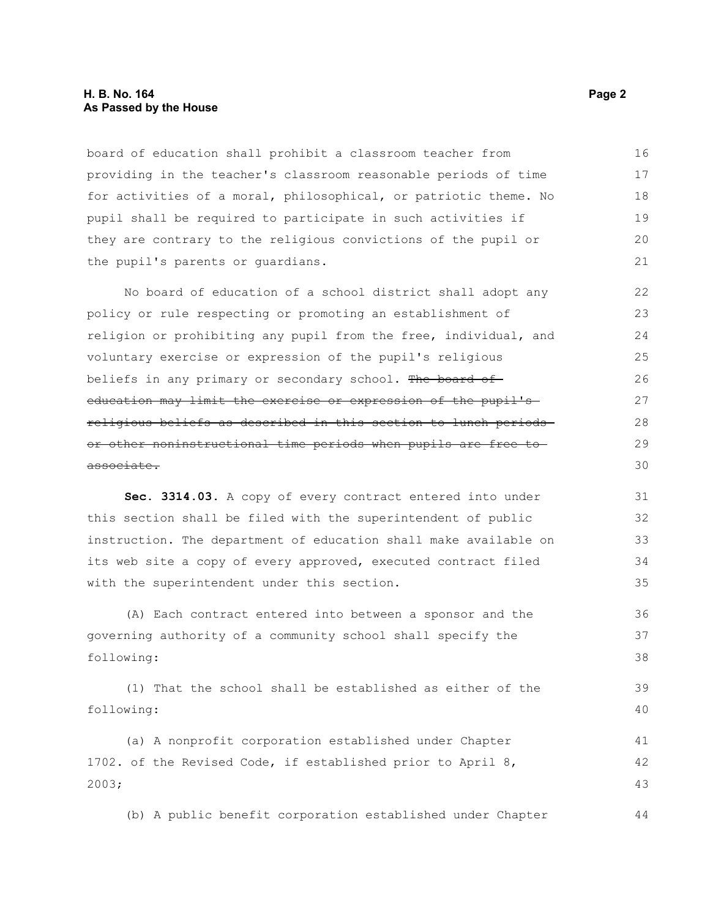#### **H. B. No. 164 Page 2 As Passed by the House**

board of education shall prohibit a classroom teacher from providing in the teacher's classroom reasonable periods of time for activities of a moral, philosophical, or patriotic theme. No pupil shall be required to participate in such activities if they are contrary to the religious convictions of the pupil or the pupil's parents or guardians. 16 17 18 19  $20$ 21

No board of education of a school district shall adopt any policy or rule respecting or promoting an establishment of religion or prohibiting any pupil from the free, individual, and voluntary exercise or expression of the pupil's religious beliefs in any primary or secondary school. The board of education may limit the exercise or expression of the pupil's religious beliefs as described in this section to lunch periods or other noninstructional time periods when pupils are free to associate.

**Sec. 3314.03.** A copy of every contract entered into under this section shall be filed with the superintendent of public instruction. The department of education shall make available on its web site a copy of every approved, executed contract filed with the superintendent under this section.

(A) Each contract entered into between a sponsor and the governing authority of a community school shall specify the following: 36 37 38

(1) That the school shall be established as either of the following: 39 40

(a) A nonprofit corporation established under Chapter 1702. of the Revised Code, if established prior to April 8, 2003; 41 42 43

(b) A public benefit corporation established under Chapter 44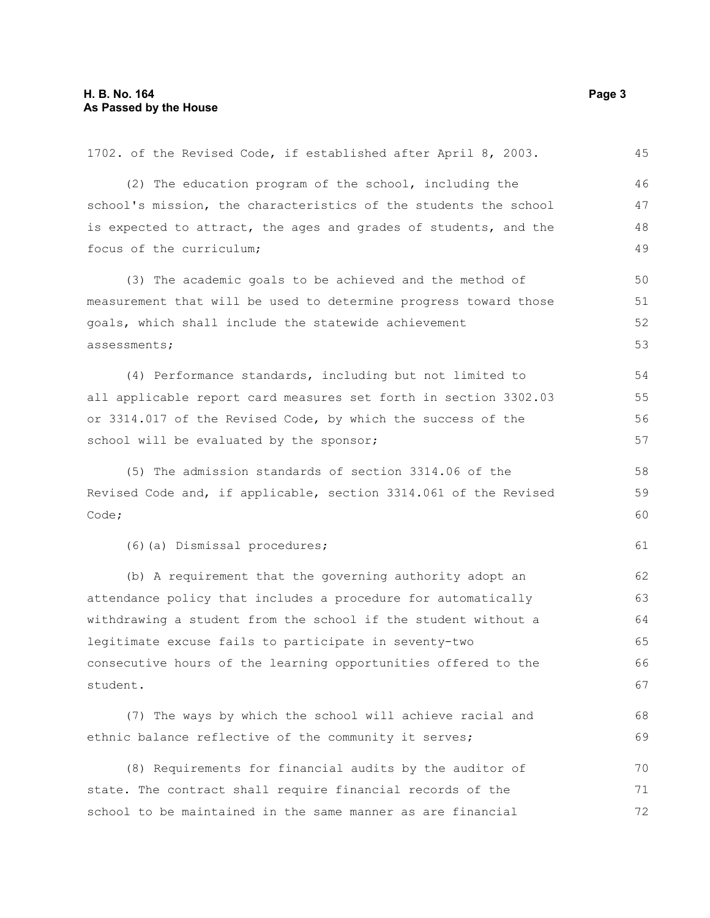| 1702. of the Revised Code, if established after April 8, 2003.   | 45 |
|------------------------------------------------------------------|----|
| (2) The education program of the school, including the           | 46 |
| school's mission, the characteristics of the students the school | 47 |
| is expected to attract, the ages and grades of students, and the | 48 |
| focus of the curriculum;                                         | 49 |
| (3) The academic goals to be achieved and the method of          | 50 |
| measurement that will be used to determine progress toward those | 51 |
| goals, which shall include the statewide achievement             | 52 |
| assessments;                                                     | 53 |
| (4) Performance standards, including but not limited to          | 54 |
| all applicable report card measures set forth in section 3302.03 | 55 |
| or 3314.017 of the Revised Code, by which the success of the     | 56 |
| school will be evaluated by the sponsor;                         | 57 |
| (5) The admission standards of section 3314.06 of the            | 58 |
| Revised Code and, if applicable, section 3314.061 of the Revised | 59 |
| Code;                                                            | 60 |
| (6) (a) Dismissal procedures;                                    | 61 |
| (b) A requirement that the governing authority adopt an          | 62 |
| attendance policy that includes a procedure for automatically    | 63 |
| withdrawing a student from the school if the student without a   | 64 |
| legitimate excuse fails to participate in seventy-two            | 65 |
| consecutive hours of the learning opportunities offered to the   | 66 |
| student.                                                         | 67 |
| (7) The ways by which the school will achieve racial and         | 68 |
| ethnic balance reflective of the community it serves;            | 69 |
| (8) Requirements for financial audits by the auditor of          | 70 |
| state. The contract shall require financial records of the       | 71 |
| school to be maintained in the same manner as are financial      | 72 |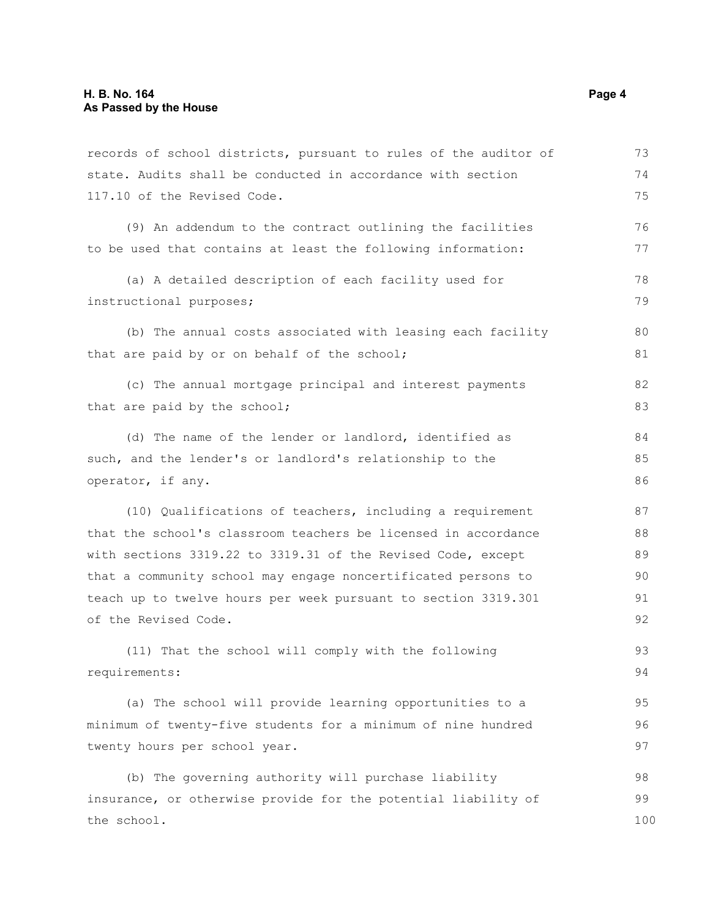| records of school districts, pursuant to rules of the auditor of | 73  |
|------------------------------------------------------------------|-----|
| state. Audits shall be conducted in accordance with section      | 74  |
| 117.10 of the Revised Code.                                      | 75  |
| (9) An addendum to the contract outlining the facilities         | 76  |
| to be used that contains at least the following information:     | 77  |
| (a) A detailed description of each facility used for             | 78  |
| instructional purposes;                                          | 79  |
| (b) The annual costs associated with leasing each facility       | 80  |
| that are paid by or on behalf of the school;                     | 81  |
| (c) The annual mortgage principal and interest payments          | 82  |
| that are paid by the school;                                     | 83  |
| (d) The name of the lender or landlord, identified as            | 84  |
| such, and the lender's or landlord's relationship to the         | 85  |
| operator, if any.                                                | 86  |
| (10) Qualifications of teachers, including a requirement         | 87  |
| that the school's classroom teachers be licensed in accordance   | 88  |
| with sections 3319.22 to 3319.31 of the Revised Code, except     | 89  |
| that a community school may engage noncertificated persons to    | 90  |
| teach up to twelve hours per week pursuant to section 3319.301   | 91  |
| of the Revised Code.                                             | 92  |
| (11) That the school will comply with the following              | 93  |
| requirements:                                                    | 94  |
| (a) The school will provide learning opportunities to a          | 95  |
| minimum of twenty-five students for a minimum of nine hundred    | 96  |
| twenty hours per school year.                                    | 97  |
| (b) The governing authority will purchase liability              | 98  |
| insurance, or otherwise provide for the potential liability of   | 99  |
| the school.                                                      | 100 |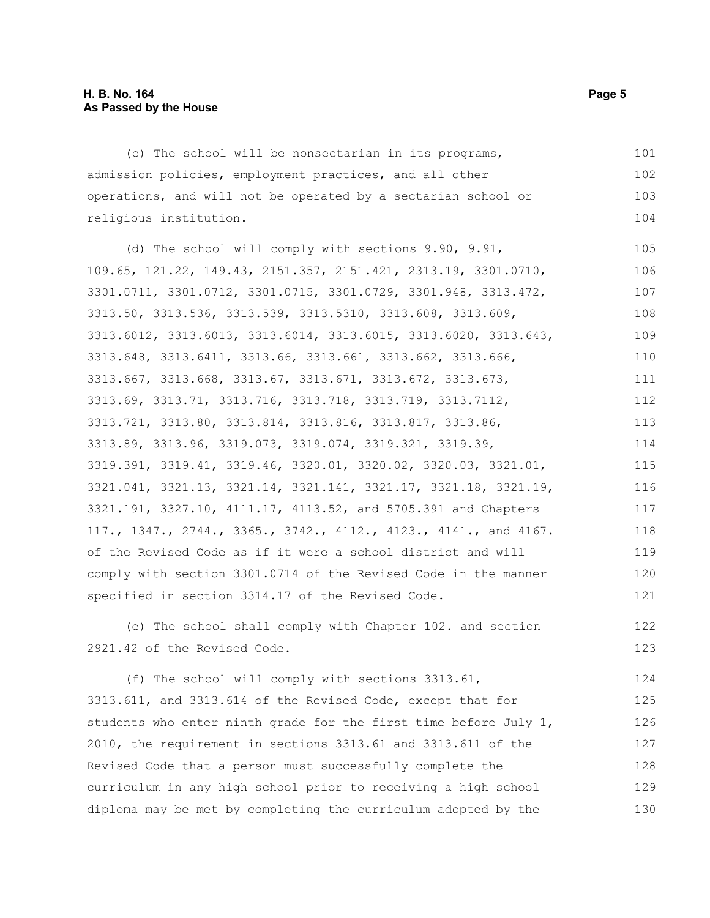#### **H. B. No. 164 Page 5 As Passed by the House**

(c) The school will be nonsectarian in its programs, admission policies, employment practices, and all other operations, and will not be operated by a sectarian school or religious institution. (d) The school will comply with sections 9.90, 9.91, 109.65, 121.22, 149.43, 2151.357, 2151.421, 2313.19, 3301.0710, 3301.0711, 3301.0712, 3301.0715, 3301.0729, 3301.948, 3313.472, 3313.50, 3313.536, 3313.539, 3313.5310, 3313.608, 3313.609, 3313.6012, 3313.6013, 3313.6014, 3313.6015, 3313.6020, 3313.643, 3313.648, 3313.6411, 3313.66, 3313.661, 3313.662, 3313.666, 3313.667, 3313.668, 3313.67, 3313.671, 3313.672, 3313.673, 3313.69, 3313.71, 3313.716, 3313.718, 3313.719, 3313.7112, 3313.721, 3313.80, 3313.814, 3313.816, 3313.817, 3313.86, 3313.89, 3313.96, 3319.073, 3319.074, 3319.321, 3319.39, 3319.391, 3319.41, 3319.46, 3320.01, 3320.02, 3320.03, 3321.01, 3321.041, 3321.13, 3321.14, 3321.141, 3321.17, 3321.18, 3321.19, 3321.191, 3327.10, 4111.17, 4113.52, and 5705.391 and Chapters 117., 1347., 2744., 3365., 3742., 4112., 4123., 4141., and 4167. of the Revised Code as if it were a school district and will comply with section 3301.0714 of the Revised Code in the manner specified in section 3314.17 of the Revised Code. 101 102 103 104 105 106 107 108 109 110 111 112 113 114 115 116 117 118 119 120 121 122

(e) The school shall comply with Chapter 102. and section 2921.42 of the Revised Code.

(f) The school will comply with sections 3313.61, 3313.611, and 3313.614 of the Revised Code, except that for students who enter ninth grade for the first time before July 1, 2010, the requirement in sections 3313.61 and 3313.611 of the Revised Code that a person must successfully complete the curriculum in any high school prior to receiving a high school diploma may be met by completing the curriculum adopted by the 124 125 126 127 128 129 130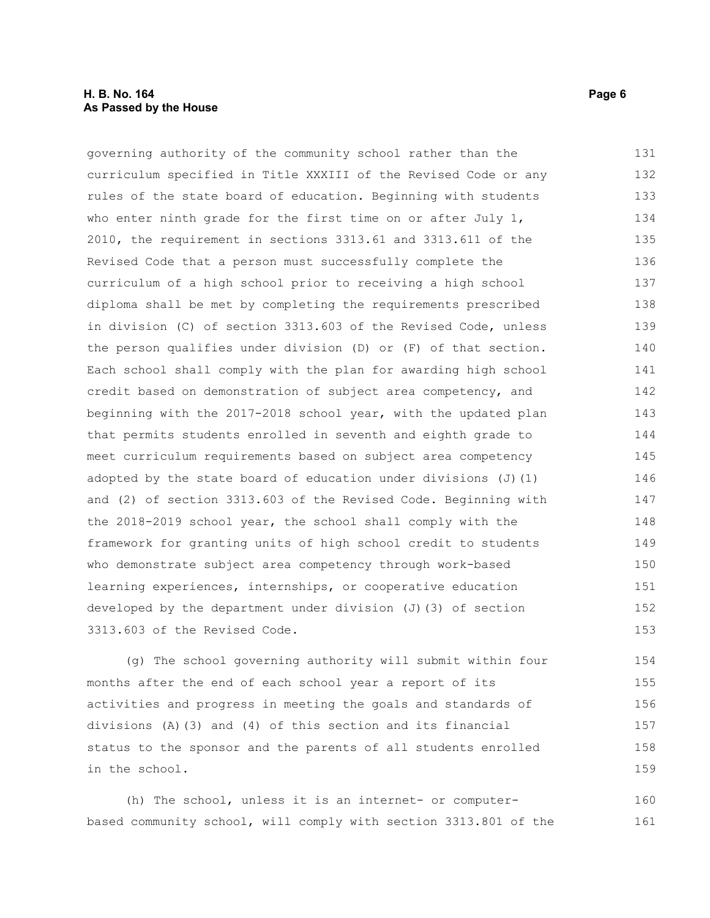#### **H. B. No. 164 Page 6 As Passed by the House**

governing authority of the community school rather than the curriculum specified in Title XXXIII of the Revised Code or any rules of the state board of education. Beginning with students who enter ninth grade for the first time on or after July 1, 2010, the requirement in sections 3313.61 and 3313.611 of the Revised Code that a person must successfully complete the curriculum of a high school prior to receiving a high school diploma shall be met by completing the requirements prescribed in division (C) of section 3313.603 of the Revised Code, unless the person qualifies under division (D) or (F) of that section. Each school shall comply with the plan for awarding high school credit based on demonstration of subject area competency, and beginning with the 2017-2018 school year, with the updated plan that permits students enrolled in seventh and eighth grade to meet curriculum requirements based on subject area competency adopted by the state board of education under divisions  $(J)$  (1) and (2) of section 3313.603 of the Revised Code. Beginning with the 2018-2019 school year, the school shall comply with the framework for granting units of high school credit to students who demonstrate subject area competency through work-based learning experiences, internships, or cooperative education developed by the department under division (J)(3) of section 3313.603 of the Revised Code. 131 132 133 134 135 136 137 138 139 140 141 142 143 144 145 146 147 148 149 150 151 152 153

(g) The school governing authority will submit within four months after the end of each school year a report of its activities and progress in meeting the goals and standards of divisions (A)(3) and (4) of this section and its financial status to the sponsor and the parents of all students enrolled in the school. 154 155 156 157 158 159

(h) The school, unless it is an internet- or computerbased community school, will comply with section 3313.801 of the 160 161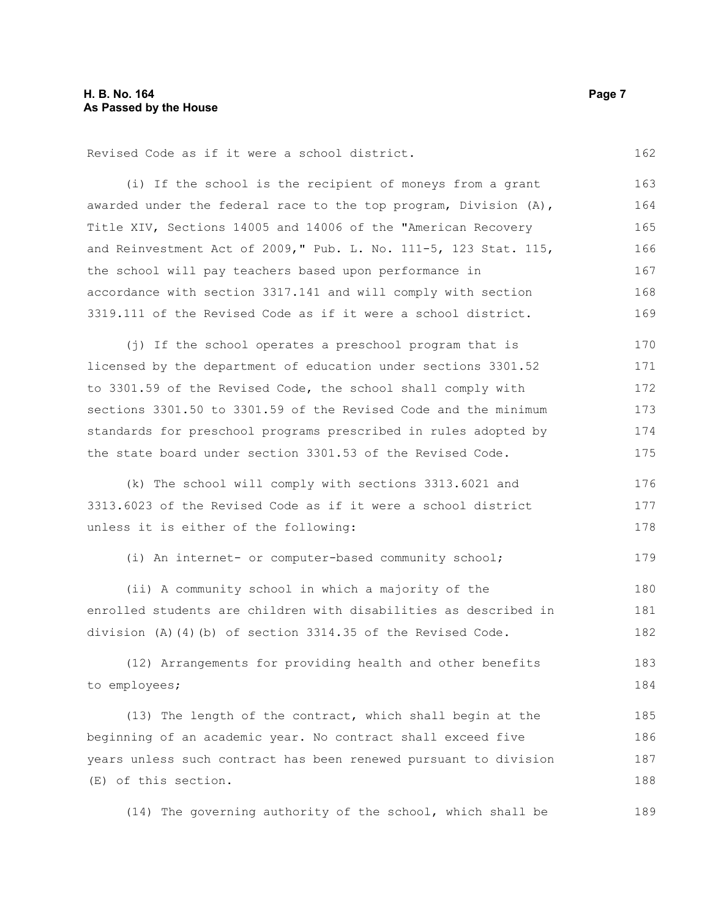Revised Code as if it were a school district.

(i) If the school is the recipient of moneys from a grant awarded under the federal race to the top program, Division (A), Title XIV, Sections 14005 and 14006 of the "American Recovery and Reinvestment Act of 2009," Pub. L. No. 111-5, 123 Stat. 115, the school will pay teachers based upon performance in accordance with section 3317.141 and will comply with section 3319.111 of the Revised Code as if it were a school district. 163 164 165 166 167 168 169

(j) If the school operates a preschool program that is licensed by the department of education under sections 3301.52 to 3301.59 of the Revised Code, the school shall comply with sections 3301.50 to 3301.59 of the Revised Code and the minimum standards for preschool programs prescribed in rules adopted by the state board under section 3301.53 of the Revised Code. 170 171 172 173 174 175

(k) The school will comply with sections 3313.6021 and 3313.6023 of the Revised Code as if it were a school district unless it is either of the following: 176 177 178

(i) An internet- or computer-based community school; 179

(ii) A community school in which a majority of the enrolled students are children with disabilities as described in division (A)(4)(b) of section 3314.35 of the Revised Code. 180 181 182

(12) Arrangements for providing health and other benefits to employees; 183 184

(13) The length of the contract, which shall begin at the beginning of an academic year. No contract shall exceed five years unless such contract has been renewed pursuant to division (E) of this section. 185 186 187 188

(14) The governing authority of the school, which shall be 189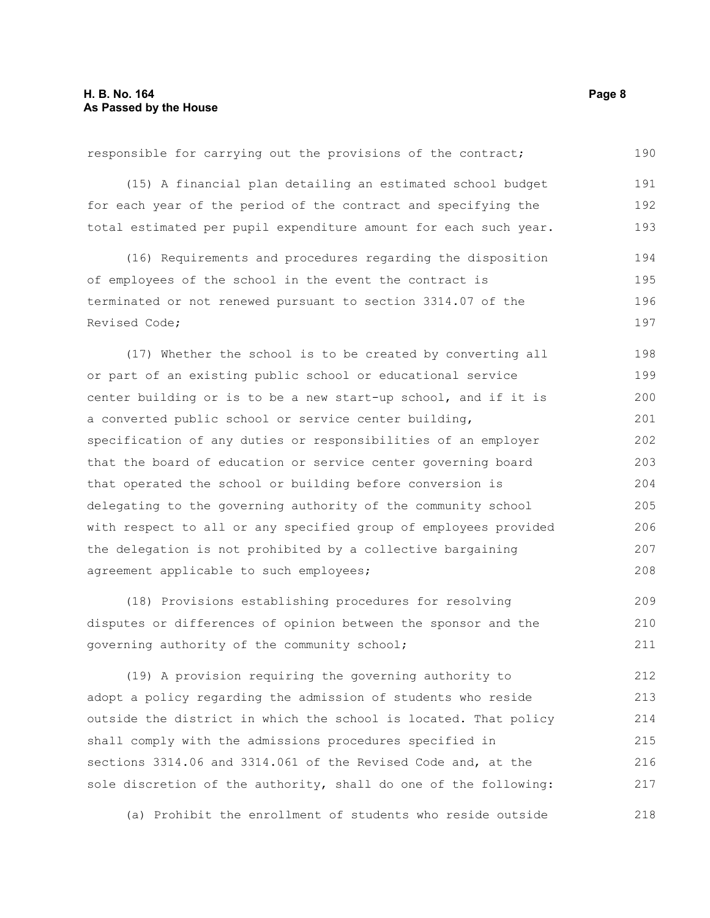| (15) A financial plan detailing an estimated school budget       | 191 |
|------------------------------------------------------------------|-----|
| for each year of the period of the contract and specifying the   | 192 |
| total estimated per pupil expenditure amount for each such year. | 193 |
| (16) Requirements and procedures regarding the disposition       | 194 |
| of employees of the school in the event the contract is          | 195 |
| terminated or not renewed pursuant to section 3314.07 of the     | 196 |
| Revised Code;                                                    | 197 |
| (17) Whether the school is to be created by converting all       | 198 |
| or part of an existing public school or educational service      | 199 |
| center building or is to be a new start-up school, and if it is  | 200 |
| a converted public school or service center building,            | 201 |
| specification of any duties or responsibilities of an employer   | 202 |
| that the board of education or service center governing board    | 203 |
| that operated the school or building before conversion is        | 204 |
| delegating to the governing authority of the community school    | 205 |
| with respect to all or any specified group of employees provided | 206 |
| the delegation is not prohibited by a collective bargaining      | 207 |
| agreement applicable to such employees;                          | 208 |
|                                                                  |     |

responsible for carrying out the provisions of the contract;

(18) Provisions establishing procedures for resolving disputes or differences of opinion between the sponsor and the governing authority of the community school; 209 210 211

(19) A provision requiring the governing authority to adopt a policy regarding the admission of students who reside outside the district in which the school is located. That policy shall comply with the admissions procedures specified in sections 3314.06 and 3314.061 of the Revised Code and, at the sole discretion of the authority, shall do one of the following: 212 213 214 215 216 217

(a) Prohibit the enrollment of students who reside outside 218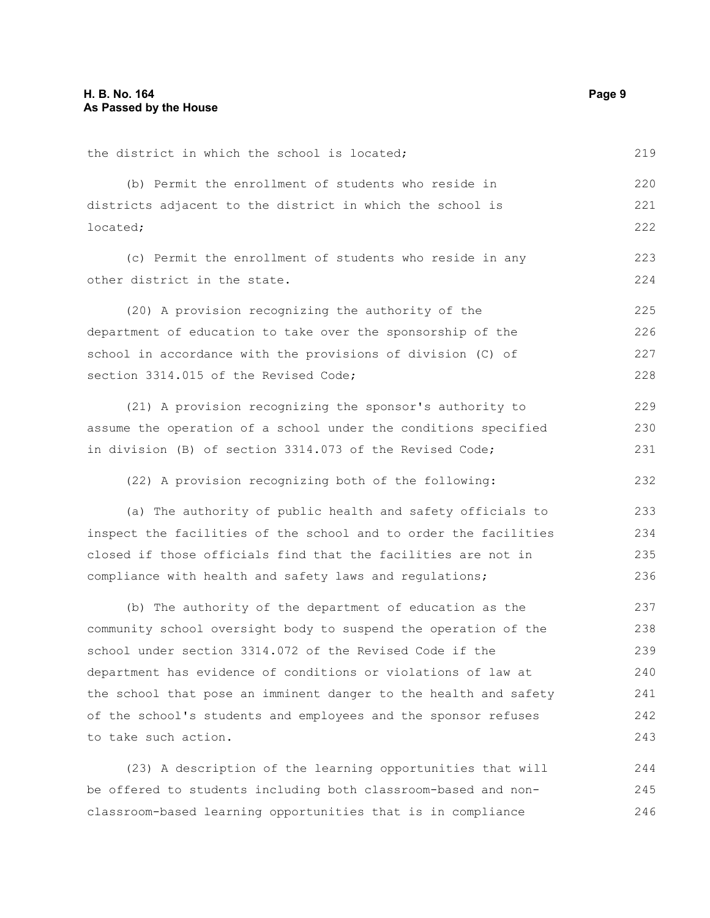| the district in which the school is located;                     | 219 |
|------------------------------------------------------------------|-----|
| (b) Permit the enrollment of students who reside in              | 220 |
| districts adjacent to the district in which the school is        | 221 |
| located;                                                         | 222 |
| (c) Permit the enrollment of students who reside in any          | 223 |
| other district in the state.                                     | 224 |
| (20) A provision recognizing the authority of the                | 225 |
| department of education to take over the sponsorship of the      | 226 |
| school in accordance with the provisions of division (C) of      | 227 |
| section 3314.015 of the Revised Code;                            | 228 |
| (21) A provision recognizing the sponsor's authority to          | 229 |
| assume the operation of a school under the conditions specified  | 230 |
| in division (B) of section 3314.073 of the Revised Code;         | 231 |
| (22) A provision recognizing both of the following:              | 232 |
| (a) The authority of public health and safety officials to       | 233 |
| inspect the facilities of the school and to order the facilities | 234 |
| closed if those officials find that the facilities are not in    | 235 |
| compliance with health and safety laws and regulations;          | 236 |
| (b) The authority of the department of education as the          | 237 |
| community school oversight body to suspend the operation of the  | 238 |
| school under section 3314.072 of the Revised Code if the         | 239 |
| department has evidence of conditions or violations of law at    | 240 |
| the school that pose an imminent danger to the health and safety | 241 |
| of the school's students and employees and the sponsor refuses   | 242 |
| to take such action.                                             | 243 |
| (23) A description of the learning opportunities that will       | 244 |
| be offered to students including both classroom-based and non-   | 245 |
| classroom-based learning opportunities that is in compliance     | 246 |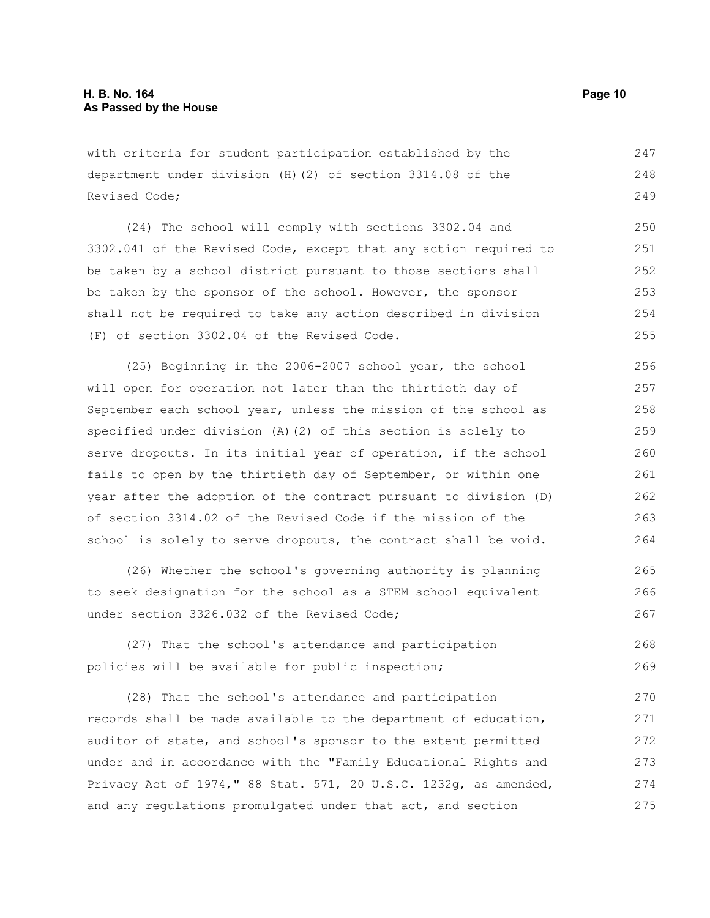with criteria for student participation established by the department under division (H)(2) of section 3314.08 of the Revised Code; 247 248 249

(24) The school will comply with sections 3302.04 and 3302.041 of the Revised Code, except that any action required to be taken by a school district pursuant to those sections shall be taken by the sponsor of the school. However, the sponsor shall not be required to take any action described in division (F) of section 3302.04 of the Revised Code. 250 251 252 253 254 255

(25) Beginning in the 2006-2007 school year, the school will open for operation not later than the thirtieth day of September each school year, unless the mission of the school as specified under division (A)(2) of this section is solely to serve dropouts. In its initial year of operation, if the school fails to open by the thirtieth day of September, or within one year after the adoption of the contract pursuant to division (D) of section 3314.02 of the Revised Code if the mission of the school is solely to serve dropouts, the contract shall be void. 256 257 258 259 260 261 262 263 264

(26) Whether the school's governing authority is planning to seek designation for the school as a STEM school equivalent under section 3326.032 of the Revised Code;

(27) That the school's attendance and participation policies will be available for public inspection; 268 269

(28) That the school's attendance and participation records shall be made available to the department of education, auditor of state, and school's sponsor to the extent permitted under and in accordance with the "Family Educational Rights and Privacy Act of 1974," 88 Stat. 571, 20 U.S.C. 1232g, as amended, and any regulations promulgated under that act, and section 270 271 272 273 274 275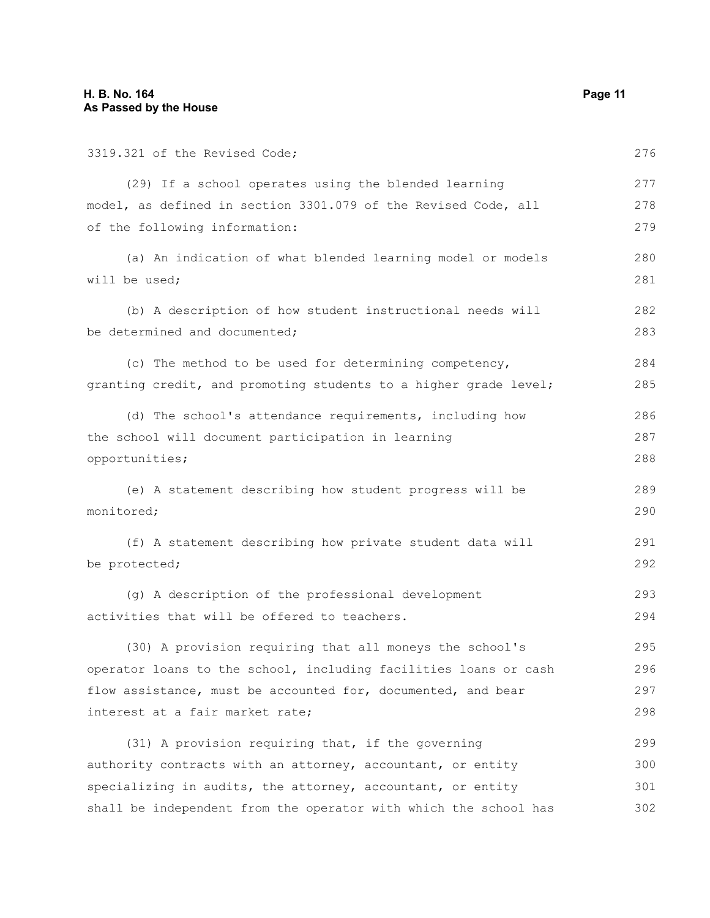3319.321 of the Revised Code; (29) If a school operates using the blended learning model, as defined in section 3301.079 of the Revised Code, all of the following information: (a) An indication of what blended learning model or models will be used; (b) A description of how student instructional needs will be determined and documented; (c) The method to be used for determining competency, granting credit, and promoting students to a higher grade level; (d) The school's attendance requirements, including how the school will document participation in learning opportunities; (e) A statement describing how student progress will be monitored; (f) A statement describing how private student data will be protected; (g) A description of the professional development activities that will be offered to teachers. (30) A provision requiring that all moneys the school's operator loans to the school, including facilities loans or cash flow assistance, must be accounted for, documented, and bear interest at a fair market rate; (31) A provision requiring that, if the governing authority contracts with an attorney, accountant, or entity specializing in audits, the attorney, accountant, or entity shall be independent from the operator with which the school has 276 277 278 279 280 281 282 283 284 285 286 287 288 289 290 291 292 293 294 295 296 297 298 299 300 301 302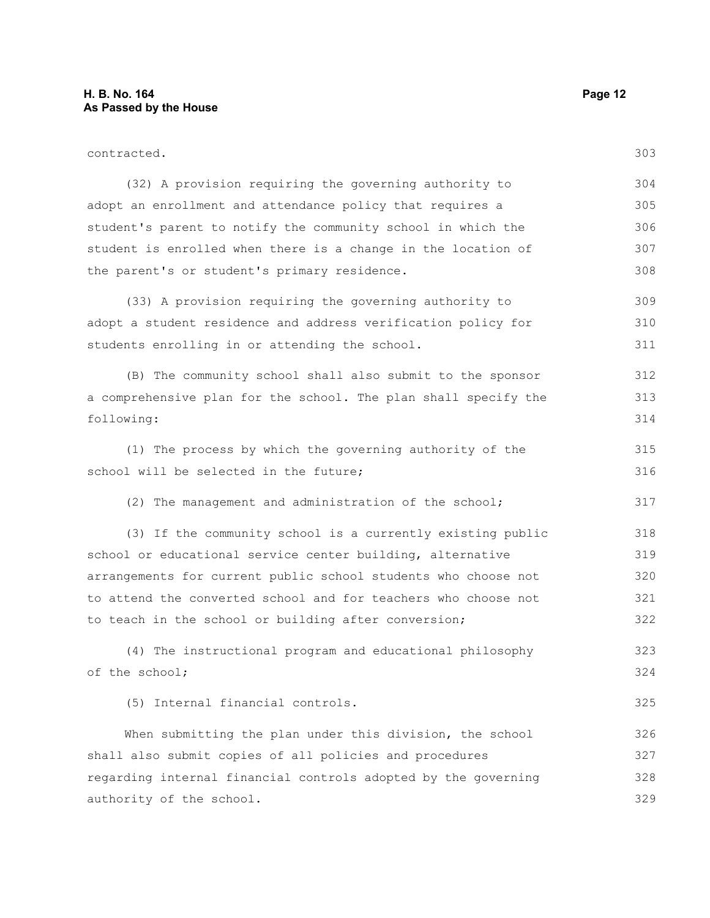| contracted.                                                     | 303 |
|-----------------------------------------------------------------|-----|
| (32) A provision requiring the governing authority to           | 304 |
| adopt an enrollment and attendance policy that requires a       | 305 |
| student's parent to notify the community school in which the    | 306 |
| student is enrolled when there is a change in the location of   | 307 |
| the parent's or student's primary residence.                    | 308 |
| (33) A provision requiring the governing authority to           | 309 |
| adopt a student residence and address verification policy for   | 310 |
| students enrolling in or attending the school.                  | 311 |
| (B) The community school shall also submit to the sponsor       | 312 |
| a comprehensive plan for the school. The plan shall specify the | 313 |
| following:                                                      | 314 |
| (1) The process by which the governing authority of the         | 315 |
| school will be selected in the future;                          | 316 |
| (2) The management and administration of the school;            | 317 |
| (3) If the community school is a currently existing public      | 318 |
| school or educational service center building, alternative      | 319 |
| arrangements for current public school students who choose not  | 320 |
| to attend the converted school and for teachers who choose not  | 321 |
| to teach in the school or building after conversion;            | 322 |
| (4) The instructional program and educational philosophy        | 323 |
| of the school;                                                  | 324 |
| (5) Internal financial controls.                                | 325 |
| When submitting the plan under this division, the school        | 326 |
| shall also submit copies of all policies and procedures         | 327 |
| regarding internal financial controls adopted by the governing  | 328 |
| authority of the school.                                        | 329 |
|                                                                 |     |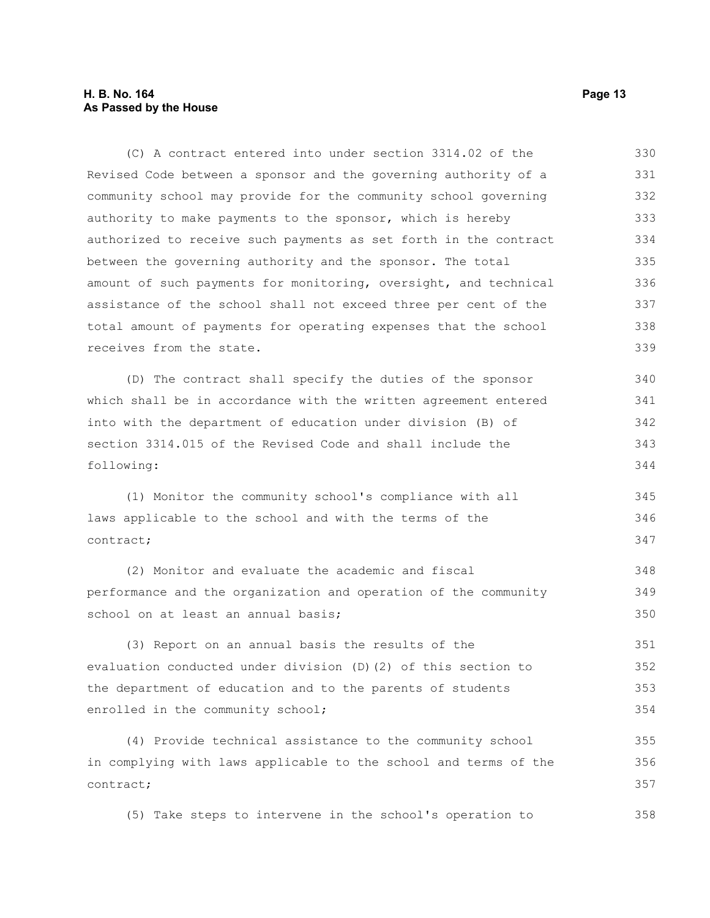#### **H. B. No. 164 Page 13 As Passed by the House**

(C) A contract entered into under section 3314.02 of the Revised Code between a sponsor and the governing authority of a community school may provide for the community school governing authority to make payments to the sponsor, which is hereby authorized to receive such payments as set forth in the contract between the governing authority and the sponsor. The total amount of such payments for monitoring, oversight, and technical assistance of the school shall not exceed three per cent of the total amount of payments for operating expenses that the school receives from the state. 330 331 332 333 334 335 336 337 338 339

(D) The contract shall specify the duties of the sponsor which shall be in accordance with the written agreement entered into with the department of education under division (B) of section 3314.015 of the Revised Code and shall include the following: 340 341 342 343 344

(1) Monitor the community school's compliance with all laws applicable to the school and with the terms of the contract; 345 346 347

(2) Monitor and evaluate the academic and fiscal performance and the organization and operation of the community school on at least an annual basis;

(3) Report on an annual basis the results of the evaluation conducted under division (D)(2) of this section to the department of education and to the parents of students enrolled in the community school; 351 352 353 354

(4) Provide technical assistance to the community school in complying with laws applicable to the school and terms of the contract; 355 356 357

(5) Take steps to intervene in the school's operation to 358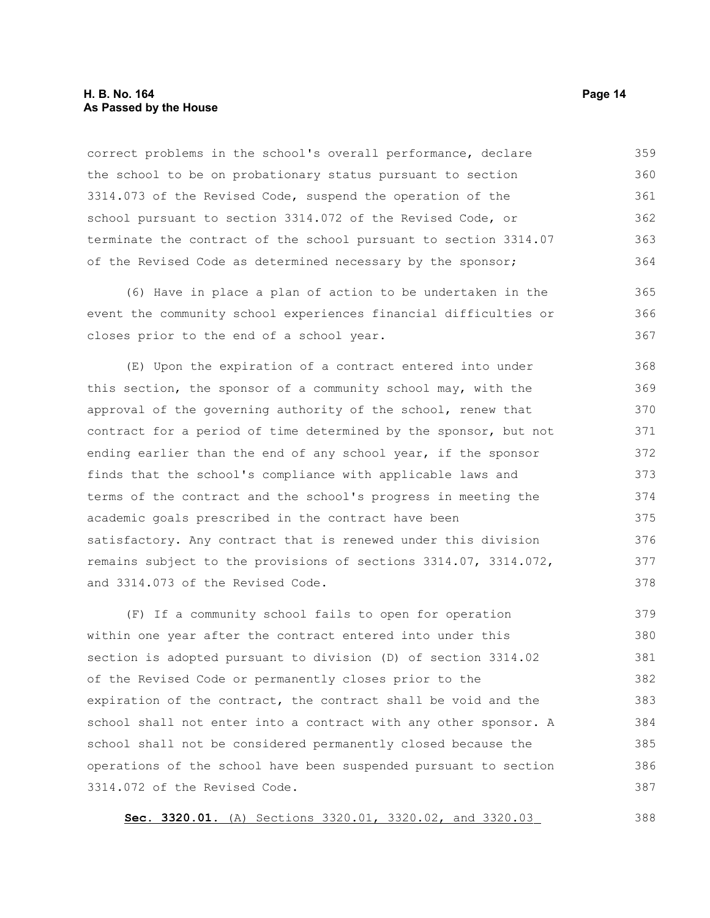#### **H. B. No. 164 Page 14 As Passed by the House**

correct problems in the school's overall performance, declare the school to be on probationary status pursuant to section 3314.073 of the Revised Code, suspend the operation of the school pursuant to section 3314.072 of the Revised Code, or terminate the contract of the school pursuant to section 3314.07 of the Revised Code as determined necessary by the sponsor; 359 360 361 362 363 364

(6) Have in place a plan of action to be undertaken in the event the community school experiences financial difficulties or closes prior to the end of a school year. 365 366 367

(E) Upon the expiration of a contract entered into under this section, the sponsor of a community school may, with the approval of the governing authority of the school, renew that contract for a period of time determined by the sponsor, but not ending earlier than the end of any school year, if the sponsor finds that the school's compliance with applicable laws and terms of the contract and the school's progress in meeting the academic goals prescribed in the contract have been satisfactory. Any contract that is renewed under this division remains subject to the provisions of sections 3314.07, 3314.072, and 3314.073 of the Revised Code. 368 369 370 371 372 373 374 375 376 377 378

(F) If a community school fails to open for operation within one year after the contract entered into under this section is adopted pursuant to division (D) of section 3314.02 of the Revised Code or permanently closes prior to the expiration of the contract, the contract shall be void and the school shall not enter into a contract with any other sponsor. A school shall not be considered permanently closed because the operations of the school have been suspended pursuant to section 3314.072 of the Revised Code. 379 380 381 382 383 384 385 386 387

**Sec. 3320.01.** (A) Sections 3320.01, 3320.02, and 3320.03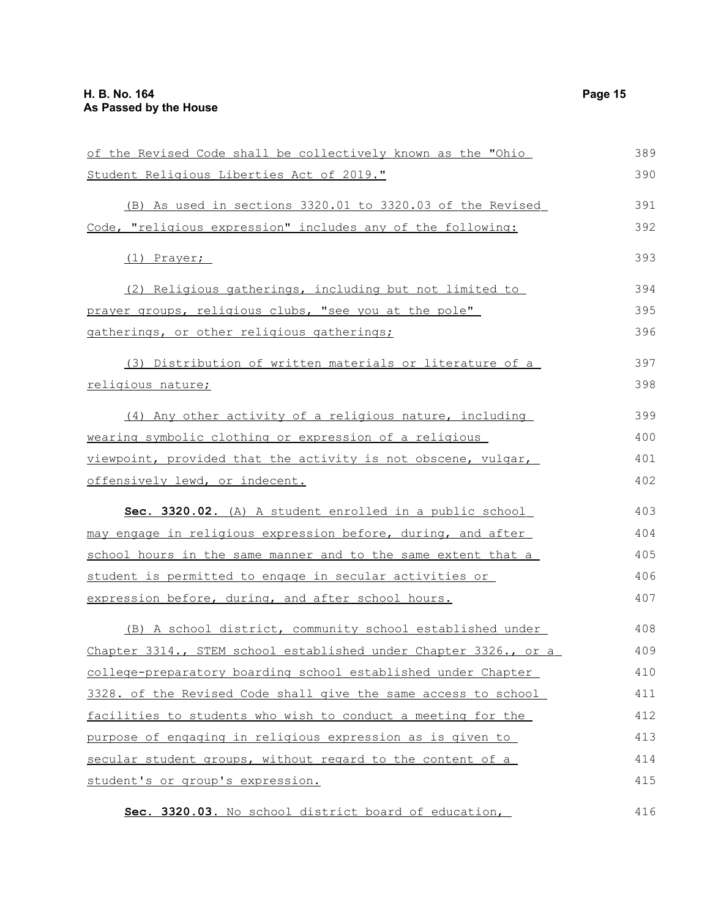| of the Revised Code shall be collectively known as the "Ohio     | 389 |
|------------------------------------------------------------------|-----|
| Student Religious Liberties Act of 2019."                        | 390 |
| (B) As used in sections 3320.01 to 3320.03 of the Revised        | 391 |
| Code, "religious expression" includes any of the following:      | 392 |
| $(1)$ Prayer;                                                    | 393 |
| (2) Religious gatherings, including but not limited to           | 394 |
| prayer groups, religious clubs, "see you at the pole"            | 395 |
| gatherings, or other religious gatherings;                       | 396 |
| (3) Distribution of written materials or literature of a         | 397 |
| <u>religious nature;</u>                                         | 398 |
| (4) Any other activity of a religious nature, including          | 399 |
| wearing symbolic clothing or expression of a religious           | 400 |
| viewpoint, provided that the activity is not obscene, vulgar,    | 401 |
| offensively lewd, or indecent.                                   | 402 |
| Sec. 3320.02. (A) A student enrolled in a public school          | 403 |
| may engage in religious expression before, during, and after     | 404 |
| school hours in the same manner and to the same extent that a    | 405 |
| <u>student is permitted to engage in secular activities or </u>  | 406 |
| expression before, during, and after school hours.               | 407 |
| (B) A school district, community school established under        | 408 |
| Chapter 3314., STEM school established under Chapter 3326., or a | 409 |
| college-preparatory boarding school established under Chapter    | 410 |
| 3328. of the Revised Code shall give the same access to school   | 411 |
| facilities to students who wish to conduct a meeting for the     | 412 |
| purpose of engaging in religious expression as is given to       | 413 |
| secular student groups, without regard to the content of a       | 414 |
| student's or group's expression.                                 | 415 |

 **Sec. 3320.03.** No school district board of education, 416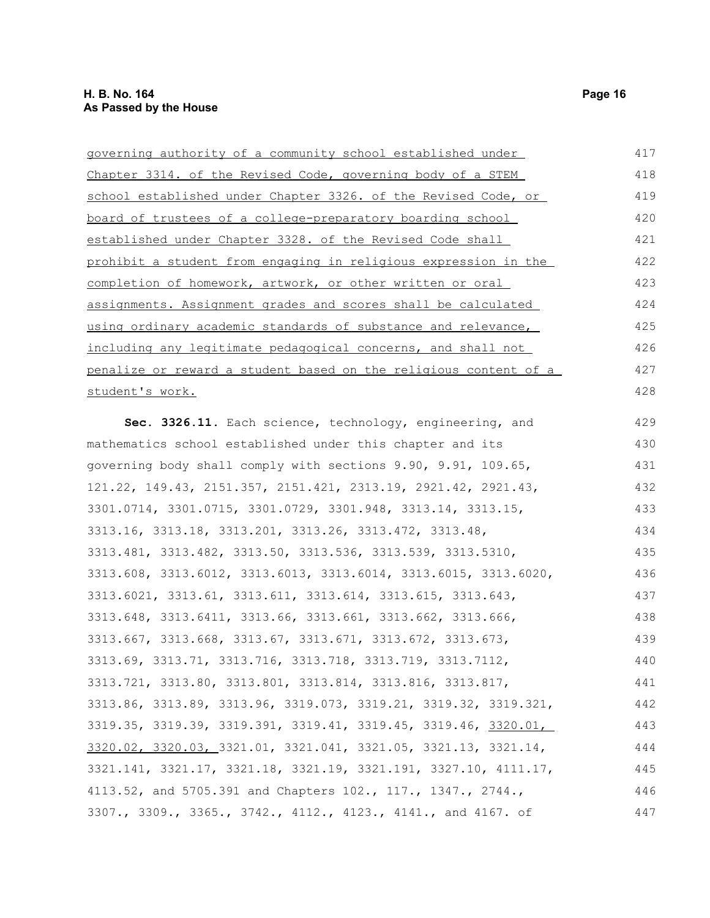| governing authority of a community school established under      | 417 |
|------------------------------------------------------------------|-----|
| Chapter 3314. of the Revised Code, governing body of a STEM      | 418 |
| school established under Chapter 3326. of the Revised Code, or   | 419 |
| board of trustees of a college-preparatory boarding school       | 420 |
| established under Chapter 3328. of the Revised Code shall        | 421 |
| prohibit a student from engaging in religious expression in the  | 422 |
| completion of homework, artwork, or other written or oral        | 423 |
| assignments. Assignment grades and scores shall be calculated    | 424 |
| using ordinary academic standards of substance and relevance,    | 425 |
| including any legitimate pedagogical concerns, and shall not     | 426 |
| penalize or reward a student based on the religious content of a | 427 |
| student's work.                                                  | 428 |
| Sec. 3326.11. Each science, technology, engineering, and         | 429 |
| mathematics school established under this chapter and its        | 430 |
| governing body shall comply with sections 9.90, 9.91, 109.65,    | 431 |
| 121.22, 149.43, 2151.357, 2151.421, 2313.19, 2921.42, 2921.43,   | 432 |
| 3301.0714, 3301.0715, 3301.0729, 3301.948, 3313.14, 3313.15,     | 433 |
| 3313.16, 3313.18, 3313.201, 3313.26, 3313.472, 3313.48,          | 434 |
| 3313.481, 3313.482, 3313.50, 3313.536, 3313.539, 3313.5310,      | 435 |
| 3313.608, 3313.6012, 3313.6013, 3313.6014, 3313.6015, 3313.6020, | 436 |
| 3313.6021, 3313.61, 3313.611, 3313.614, 3313.615, 3313.643,      | 437 |
| 3313.648, 3313.6411, 3313.66, 3313.661, 3313.662, 3313.666,      | 438 |
| 3313.667, 3313.668, 3313.67, 3313.671, 3313.672, 3313.673,       | 439 |
| 3313.69, 3313.71, 3313.716, 3313.718, 3313.719, 3313.7112,       | 440 |
| 3313.721, 3313.80, 3313.801, 3313.814, 3313.816, 3313.817,       | 441 |
| 3313.86, 3313.89, 3313.96, 3319.073, 3319.21, 3319.32, 3319.321, | 442 |
| 3319.35, 3319.39, 3319.391, 3319.41, 3319.45, 3319.46, 3320.01,  | 443 |
| 3320.02, 3320.03, 3321.01, 3321.041, 3321.05, 3321.13, 3321.14,  | 444 |
| 3321.141, 3321.17, 3321.18, 3321.19, 3321.191, 3327.10, 4111.17, | 445 |
| 4113.52, and 5705.391 and Chapters 102., 117., 1347., 2744.,     | 446 |

3307., 3309., 3365., 3742., 4112., 4123., 4141., and 4167. of 447